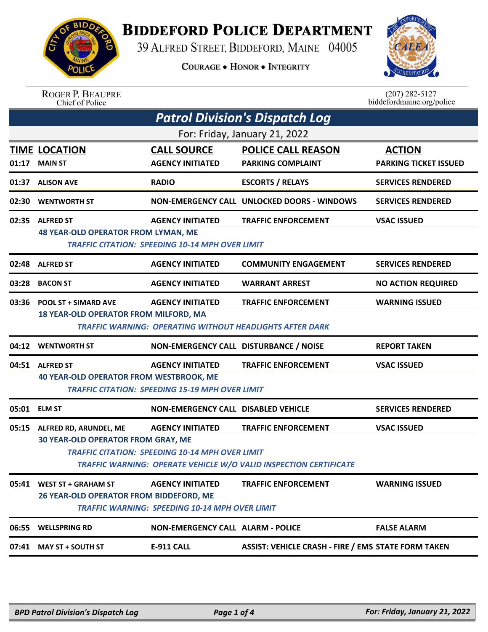

## **BIDDEFORD POLICE DEPARTMENT**

39 ALFRED STREET, BIDDEFORD, MAINE 04005

**COURAGE . HONOR . INTEGRITY** 



## ROGER P. BEAUPRE<br>Chief of Police

 $(207)$  282-5127<br>biddefordmaine.org/police

|                               | <b>Patrol Division's Dispatch Log</b>                                |                                                                                            |                                                                                                        |                                               |  |  |
|-------------------------------|----------------------------------------------------------------------|--------------------------------------------------------------------------------------------|--------------------------------------------------------------------------------------------------------|-----------------------------------------------|--|--|
| For: Friday, January 21, 2022 |                                                                      |                                                                                            |                                                                                                        |                                               |  |  |
| 01:17                         | <b>TIME LOCATION</b><br><b>MAIN ST</b>                               | <b>CALL SOURCE</b><br><b>AGENCY INITIATED</b>                                              | <b>POLICE CALL REASON</b><br><b>PARKING COMPLAINT</b>                                                  | <b>ACTION</b><br><b>PARKING TICKET ISSUED</b> |  |  |
| 01:37                         | <b>ALISON AVE</b>                                                    | <b>RADIO</b>                                                                               | <b>ESCORTS / RELAYS</b>                                                                                | <b>SERVICES RENDERED</b>                      |  |  |
|                               | 02:30 WENTWORTH ST                                                   |                                                                                            | NON-EMERGENCY CALL UNLOCKED DOORS - WINDOWS                                                            | <b>SERVICES RENDERED</b>                      |  |  |
|                               | 02:35 ALFRED ST<br><b>48 YEAR-OLD OPERATOR FROM LYMAN, ME</b>        | <b>AGENCY INITIATED</b><br><b>TRAFFIC CITATION: SPEEDING 10-14 MPH OVER LIMIT</b>          | <b>TRAFFIC ENFORCEMENT</b>                                                                             | <b>VSAC ISSUED</b>                            |  |  |
|                               | 02:48 ALFRED ST                                                      | <b>AGENCY INITIATED</b>                                                                    | <b>COMMUNITY ENGAGEMENT</b>                                                                            | <b>SERVICES RENDERED</b>                      |  |  |
|                               | 03:28 BACON ST                                                       | <b>AGENCY INITIATED</b>                                                                    | <b>WARRANT ARREST</b>                                                                                  | <b>NO ACTION REQUIRED</b>                     |  |  |
| 03:36                         | <b>POOL ST + SIMARD AVE</b><br>18 YEAR-OLD OPERATOR FROM MILFORD, MA | <b>AGENCY INITIATED</b><br><b>TRAFFIC WARNING: OPERATING WITHOUT HEADLIGHTS AFTER DARK</b> | <b>TRAFFIC ENFORCEMENT</b>                                                                             | <b>WARNING ISSUED</b>                         |  |  |
|                               | 04:12 WENTWORTH ST                                                   | NON-EMERGENCY CALL DISTURBANCE / NOISE                                                     |                                                                                                        | <b>REPORT TAKEN</b>                           |  |  |
|                               | 04:51 ALFRED ST                                                      | <b>AGENCY INITIATED</b>                                                                    | <b>TRAFFIC ENFORCEMENT</b>                                                                             | <b>VSAC ISSUED</b>                            |  |  |
|                               | <b>40 YEAR-OLD OPERATOR FROM WESTBROOK, ME</b>                       | <b>TRAFFIC CITATION: SPEEDING 15-19 MPH OVER LIMIT</b>                                     |                                                                                                        |                                               |  |  |
|                               | 05:01 ELM ST                                                         | <b>NON-EMERGENCY CALL DISABLED VEHICLE</b>                                                 |                                                                                                        | <b>SERVICES RENDERED</b>                      |  |  |
| 05:15                         | ALFRED RD, ARUNDEL, ME<br><b>30 YEAR-OLD OPERATOR FROM GRAY, ME</b>  | <b>AGENCY INITIATED</b><br><b>TRAFFIC CITATION: SPEEDING 10-14 MPH OVER LIMIT</b>          | <b>TRAFFIC ENFORCEMENT</b><br><b>TRAFFIC WARNING: OPERATE VEHICLE W/O VALID INSPECTION CERTIFICATE</b> | <b>VSAC ISSUED</b>                            |  |  |
|                               | 05:41 WEST ST + GRAHAM ST<br>26 YEAR-OLD OPERATOR FROM BIDDEFORD, ME | <b>AGENCY INITIATED</b><br><b>TRAFFIC WARNING: SPEEDING 10-14 MPH OVER LIMIT</b>           | <b>TRAFFIC ENFORCEMENT</b>                                                                             | <b>WARNING ISSUED</b>                         |  |  |
|                               | 06:55 WELLSPRING RD                                                  | <b>NON-EMERGENCY CALL ALARM - POLICE</b>                                                   |                                                                                                        | <b>FALSE ALARM</b>                            |  |  |
|                               | 07:41 MAY ST + SOUTH ST                                              | <b>E-911 CALL</b>                                                                          | <b>ASSIST: VEHICLE CRASH - FIRE / EMS STATE FORM TAKEN</b>                                             |                                               |  |  |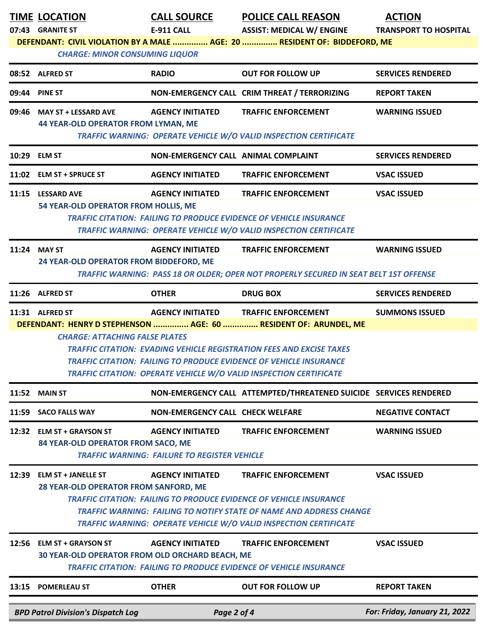|       | <b>TIME LOCATION</b><br>07:43 GRANITE ST<br><b>CHARGE: MINOR CONSUMING LIQUOR</b> | <b>CALL SOURCE</b><br><b>E-911 CALL</b>                                        | <b>POLICE CALL REASON</b><br><b>ASSIST: MEDICAL W/ ENGINE</b><br>DEFENDANT: CIVIL VIOLATION BY A MALE  AGE: 20  RESIDENT OF: BIDDEFORD, ME                                                                                                                                                                | <b>ACTION</b><br><b>TRANSPORT TO HOSPITAL</b> |
|-------|-----------------------------------------------------------------------------------|--------------------------------------------------------------------------------|-----------------------------------------------------------------------------------------------------------------------------------------------------------------------------------------------------------------------------------------------------------------------------------------------------------|-----------------------------------------------|
|       | 08:52 ALFRED ST                                                                   | <b>RADIO</b>                                                                   | <b>OUT FOR FOLLOW UP</b>                                                                                                                                                                                                                                                                                  | <b>SERVICES RENDERED</b>                      |
|       | 09:44 PINE ST                                                                     |                                                                                | NON-EMERGENCY CALL CRIM THREAT / TERRORIZING                                                                                                                                                                                                                                                              | <b>REPORT TAKEN</b>                           |
|       | 09:46 MAY ST + LESSARD AVE<br>44 YEAR-OLD OPERATOR FROM LYMAN, ME                 | <b>AGENCY INITIATED</b>                                                        | <b>TRAFFIC ENFORCEMENT</b><br>TRAFFIC WARNING: OPERATE VEHICLE W/O VALID INSPECTION CERTIFICATE                                                                                                                                                                                                           | <b>WARNING ISSUED</b>                         |
|       | 10:29 ELM ST                                                                      | NON-EMERGENCY CALL ANIMAL COMPLAINT                                            |                                                                                                                                                                                                                                                                                                           | <b>SERVICES RENDERED</b>                      |
|       | 11:02 ELM ST + SPRUCE ST                                                          | <b>AGENCY INITIATED</b>                                                        | <b>TRAFFIC ENFORCEMENT</b>                                                                                                                                                                                                                                                                                | <b>VSAC ISSUED</b>                            |
|       | 11:15 LESSARD AVE<br>54 YEAR-OLD OPERATOR FROM HOLLIS, ME                         | <b>AGENCY INITIATED</b>                                                        | <b>TRAFFIC ENFORCEMENT</b><br><b>TRAFFIC CITATION: FAILING TO PRODUCE EVIDENCE OF VEHICLE INSURANCE</b><br><b>TRAFFIC WARNING: OPERATE VEHICLE W/O VALID INSPECTION CERTIFICATE</b>                                                                                                                       | <b>VSAC ISSUED</b>                            |
|       | 11:24 MAY ST<br>24 YEAR-OLD OPERATOR FROM BIDDEFORD, ME                           | <b>AGENCY INITIATED</b>                                                        | <b>TRAFFIC ENFORCEMENT</b><br>TRAFFIC WARNING: PASS 18 OR OLDER; OPER NOT PROPERLY SECURED IN SEAT BELT 1ST OFFENSE                                                                                                                                                                                       | <b>WARNING ISSUED</b>                         |
|       | 11:26 ALFRED ST                                                                   | <b>OTHER</b>                                                                   | <b>DRUG BOX</b>                                                                                                                                                                                                                                                                                           | <b>SERVICES RENDERED</b>                      |
|       | <b>CHARGE: ATTACHING FALSE PLATES</b>                                             |                                                                                | DEFENDANT: HENRY D STEPHENSON  AGE: 60  RESIDENT OF: ARUNDEL, ME<br><b>TRAFFIC CITATION: EVADING VEHICLE REGISTRATION FEES AND EXCISE TAXES</b><br><b>TRAFFIC CITATION: FAILING TO PRODUCE EVIDENCE OF VEHICLE INSURANCE</b><br><b>TRAFFIC CITATION: OPERATE VEHICLE W/O VALID INSPECTION CERTIFICATE</b> |                                               |
|       | <b>11:52 MAIN ST</b>                                                              |                                                                                | NON-EMERGENCY CALL ATTEMPTED/THREATENED SUICIDE SERVICES RENDERED                                                                                                                                                                                                                                         |                                               |
| 11:59 | <b>SACO FALLS WAY</b>                                                             | <b>NON-EMERGENCY CALL CHECK WELFARE</b>                                        |                                                                                                                                                                                                                                                                                                           | <b>NEGATIVE CONTACT</b>                       |
|       | 12:32 ELM ST + GRAYSON ST<br>84 YEAR-OLD OPERATOR FROM SACO, ME                   | <b>AGENCY INITIATED</b><br><b>TRAFFIC WARNING: FAILURE TO REGISTER VEHICLE</b> | <b>TRAFFIC ENFORCEMENT</b>                                                                                                                                                                                                                                                                                | <b>WARNING ISSUED</b>                         |
| 12:39 | <b>ELM ST + JANELLE ST</b><br>28 YEAR-OLD OPERATOR FROM SANFORD, ME               | <b>AGENCY INITIATED</b>                                                        | <b>TRAFFIC ENFORCEMENT</b><br><b>TRAFFIC CITATION: FAILING TO PRODUCE EVIDENCE OF VEHICLE INSURANCE</b><br><b>TRAFFIC WARNING: FAILING TO NOTIFY STATE OF NAME AND ADDRESS CHANGE</b><br><b>TRAFFIC WARNING: OPERATE VEHICLE W/O VALID INSPECTION CERTIFICATE</b>                                         | <b>VSAC ISSUED</b>                            |
| 12:56 | <b>ELM ST + GRAYSON ST</b><br>30 YEAR-OLD OPERATOR FROM OLD ORCHARD BEACH, ME     | <b>AGENCY INITIATED</b>                                                        | <b>TRAFFIC ENFORCEMENT</b><br><b>TRAFFIC CITATION: FAILING TO PRODUCE EVIDENCE OF VEHICLE INSURANCE</b>                                                                                                                                                                                                   | <b>VSAC ISSUED</b>                            |
| 13:15 | <b>POMERLEAU ST</b>                                                               | <b>OTHER</b>                                                                   | <b>OUT FOR FOLLOW UP</b>                                                                                                                                                                                                                                                                                  | <b>REPORT TAKEN</b>                           |
|       | <b>BPD Patrol Division's Dispatch Log</b>                                         | Page 2 of 4                                                                    |                                                                                                                                                                                                                                                                                                           | For: Friday, January 21, 2022                 |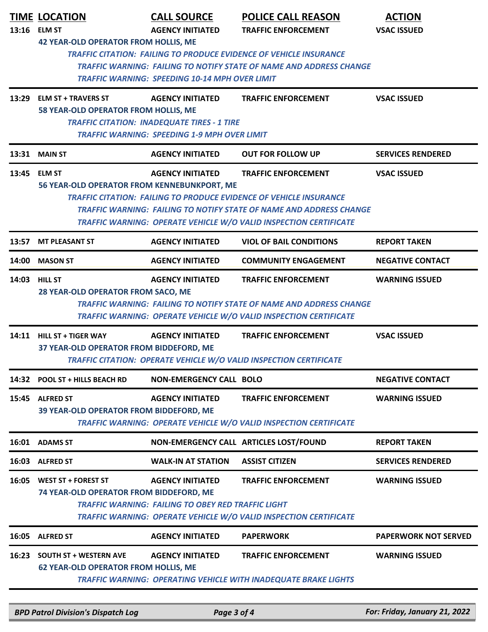|       | <b>TIME LOCATION</b><br>13:16 ELM ST                                                                                                                                                                                                                                                                                                                                       | <b>CALL SOURCE</b><br><b>AGENCY INITIATED</b>                                                                                        | <b>POLICE CALL REASON</b><br><b>TRAFFIC ENFORCEMENT</b>                                                                                                                              | <b>ACTION</b><br><b>VSAC ISSUED</b> |  |
|-------|----------------------------------------------------------------------------------------------------------------------------------------------------------------------------------------------------------------------------------------------------------------------------------------------------------------------------------------------------------------------------|--------------------------------------------------------------------------------------------------------------------------------------|--------------------------------------------------------------------------------------------------------------------------------------------------------------------------------------|-------------------------------------|--|
|       | <b>42 YEAR-OLD OPERATOR FROM HOLLIS, ME</b>                                                                                                                                                                                                                                                                                                                                | <b>TRAFFIC WARNING: SPEEDING 10-14 MPH OVER LIMIT</b>                                                                                | <b>TRAFFIC CITATION: FAILING TO PRODUCE EVIDENCE OF VEHICLE INSURANCE</b><br><b>TRAFFIC WARNING: FAILING TO NOTIFY STATE OF NAME AND ADDRESS CHANGE</b>                              |                                     |  |
| 13:29 | <b>ELM ST + TRAVERS ST</b><br>58 YEAR-OLD OPERATOR FROM HOLLIS, ME                                                                                                                                                                                                                                                                                                         | <b>AGENCY INITIATED</b><br><b>TRAFFIC CITATION: INADEQUATE TIRES - 1 TIRE</b><br><b>TRAFFIC WARNING: SPEEDING 1-9 MPH OVER LIMIT</b> | <b>TRAFFIC ENFORCEMENT</b>                                                                                                                                                           | <b>VSAC ISSUED</b>                  |  |
|       | <b>13:31 MAIN ST</b>                                                                                                                                                                                                                                                                                                                                                       | <b>AGENCY INITIATED</b>                                                                                                              | <b>OUT FOR FOLLOW UP</b>                                                                                                                                                             | <b>SERVICES RENDERED</b>            |  |
|       | 13:45 ELM ST<br><b>AGENCY INITIATED</b><br><b>TRAFFIC ENFORCEMENT</b><br><b>VSAC ISSUED</b><br>56 YEAR-OLD OPERATOR FROM KENNEBUNKPORT, ME<br><b>TRAFFIC CITATION: FAILING TO PRODUCE EVIDENCE OF VEHICLE INSURANCE</b><br><b>TRAFFIC WARNING: FAILING TO NOTIFY STATE OF NAME AND ADDRESS CHANGE</b><br>TRAFFIC WARNING: OPERATE VEHICLE W/O VALID INSPECTION CERTIFICATE |                                                                                                                                      |                                                                                                                                                                                      |                                     |  |
| 13:57 | <b>MT PLEASANT ST</b>                                                                                                                                                                                                                                                                                                                                                      | <b>AGENCY INITIATED</b>                                                                                                              | <b>VIOL OF BAIL CONDITIONS</b>                                                                                                                                                       | <b>REPORT TAKEN</b>                 |  |
| 14:00 | <b>MASON ST</b>                                                                                                                                                                                                                                                                                                                                                            | <b>AGENCY INITIATED</b>                                                                                                              | <b>COMMUNITY ENGAGEMENT</b>                                                                                                                                                          | <b>NEGATIVE CONTACT</b>             |  |
|       | 14:03 HILL ST<br>28 YEAR-OLD OPERATOR FROM SACO, ME                                                                                                                                                                                                                                                                                                                        | <b>AGENCY INITIATED</b>                                                                                                              | <b>TRAFFIC ENFORCEMENT</b><br><b>TRAFFIC WARNING: FAILING TO NOTIFY STATE OF NAME AND ADDRESS CHANGE</b><br><b>TRAFFIC WARNING: OPERATE VEHICLE W/O VALID INSPECTION CERTIFICATE</b> | <b>WARNING ISSUED</b>               |  |
|       | 14:11 HILL ST + TIGER WAY<br>37 YEAR-OLD OPERATOR FROM BIDDEFORD, ME                                                                                                                                                                                                                                                                                                       | <b>AGENCY INITIATED</b>                                                                                                              | <b>TRAFFIC ENFORCEMENT</b><br><b>TRAFFIC CITATION: OPERATE VEHICLE W/O VALID INSPECTION CERTIFICATE</b>                                                                              | <b>VSAC ISSUED</b>                  |  |
|       | 14:32 POOL ST + HILLS BEACH RD                                                                                                                                                                                                                                                                                                                                             | <b>NON-EMERGENCY CALL BOLO</b>                                                                                                       |                                                                                                                                                                                      | <b>NEGATIVE CONTACT</b>             |  |
|       | 15:45 ALFRED ST<br>39 YEAR-OLD OPERATOR FROM BIDDEFORD, ME                                                                                                                                                                                                                                                                                                                 | <b>AGENCY INITIATED</b>                                                                                                              | <b>TRAFFIC ENFORCEMENT</b><br>TRAFFIC WARNING: OPERATE VEHICLE W/O VALID INSPECTION CERTIFICATE                                                                                      | <b>WARNING ISSUED</b>               |  |
|       | 16:01 ADAMS ST                                                                                                                                                                                                                                                                                                                                                             |                                                                                                                                      | NON-EMERGENCY CALL ARTICLES LOST/FOUND                                                                                                                                               | <b>REPORT TAKEN</b>                 |  |
|       | 16:03 ALFRED ST                                                                                                                                                                                                                                                                                                                                                            | <b>WALK-IN AT STATION</b>                                                                                                            | <b>ASSIST CITIZEN</b>                                                                                                                                                                | <b>SERVICES RENDERED</b>            |  |
|       | 16:05 WEST ST + FOREST ST<br><b>74 YEAR-OLD OPERATOR FROM BIDDEFORD, ME</b>                                                                                                                                                                                                                                                                                                | <b>AGENCY INITIATED</b><br><b>TRAFFIC WARNING: FAILING TO OBEY RED TRAFFIC LIGHT</b>                                                 | <b>TRAFFIC ENFORCEMENT</b><br>TRAFFIC WARNING: OPERATE VEHICLE W/O VALID INSPECTION CERTIFICATE                                                                                      | <b>WARNING ISSUED</b>               |  |
|       | 16:05 ALFRED ST                                                                                                                                                                                                                                                                                                                                                            | <b>AGENCY INITIATED</b>                                                                                                              | <b>PAPERWORK</b>                                                                                                                                                                     | <b>PAPERWORK NOT SERVED</b>         |  |
| 16:23 | <b>SOUTH ST + WESTERN AVE</b><br><b>62 YEAR-OLD OPERATOR FROM HOLLIS, ME</b>                                                                                                                                                                                                                                                                                               | <b>AGENCY INITIATED</b>                                                                                                              | <b>TRAFFIC ENFORCEMENT</b><br><b>TRAFFIC WARNING: OPERATING VEHICLE WITH INADEQUATE BRAKE LIGHTS</b>                                                                                 | <b>WARNING ISSUED</b>               |  |

*BPD Patrol Division's Dispatch Log Page 3 of 4 For: Friday, January 21, 2022*